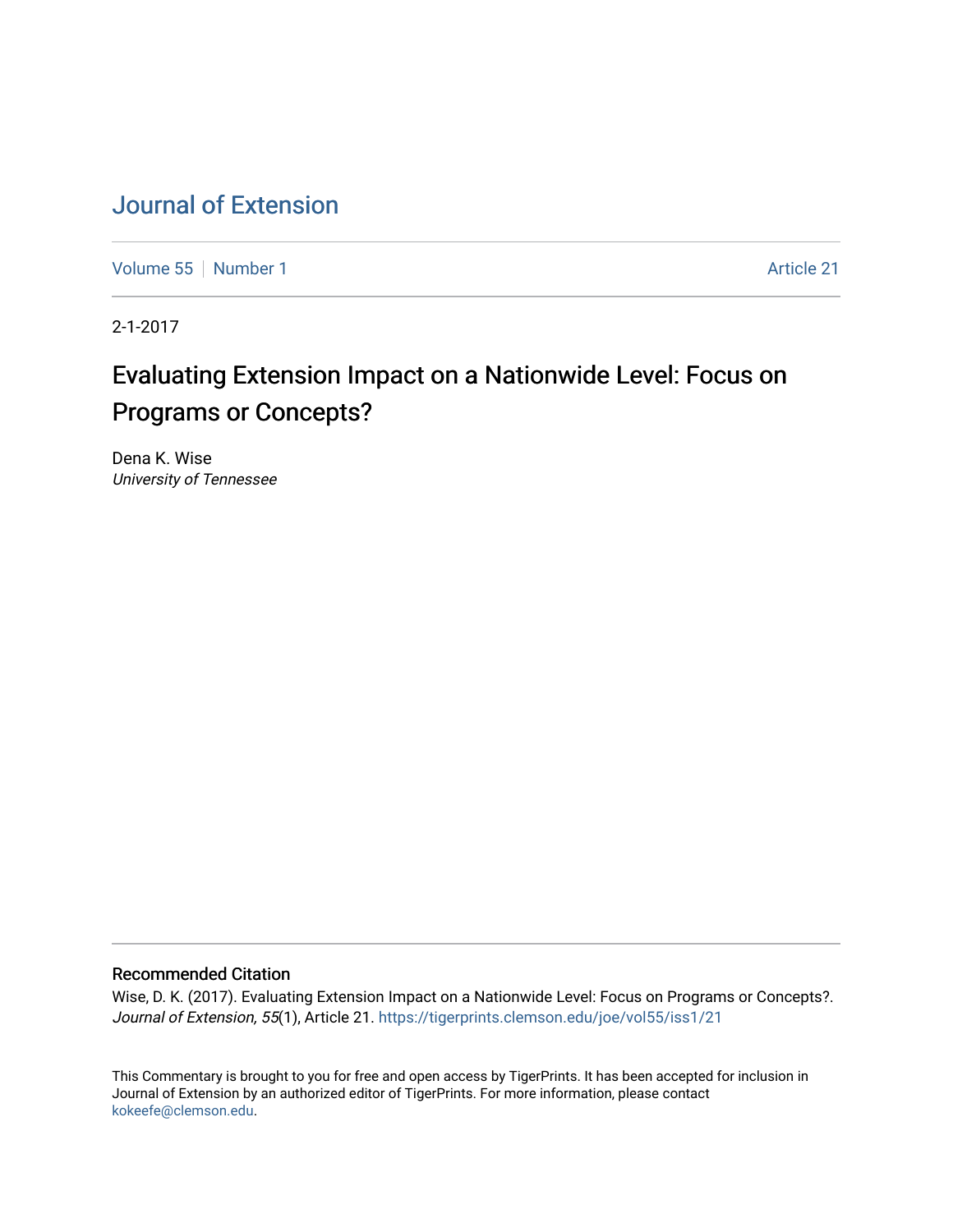# [Journal of Extension](https://tigerprints.clemson.edu/joe)

[Volume 55](https://tigerprints.clemson.edu/joe/vol55) [Number 1](https://tigerprints.clemson.edu/joe/vol55/iss1) Article 21

2-1-2017

# Evaluating Extension Impact on a Nationwide Level: Focus on Programs or Concepts?

Dena K. Wise University of Tennessee

### Recommended Citation

Wise, D. K. (2017). Evaluating Extension Impact on a Nationwide Level: Focus on Programs or Concepts?. Journal of Extension, 55(1), Article 21.<https://tigerprints.clemson.edu/joe/vol55/iss1/21>

This Commentary is brought to you for free and open access by TigerPrints. It has been accepted for inclusion in Journal of Extension by an authorized editor of TigerPrints. For more information, please contact [kokeefe@clemson.edu](mailto:kokeefe@clemson.edu).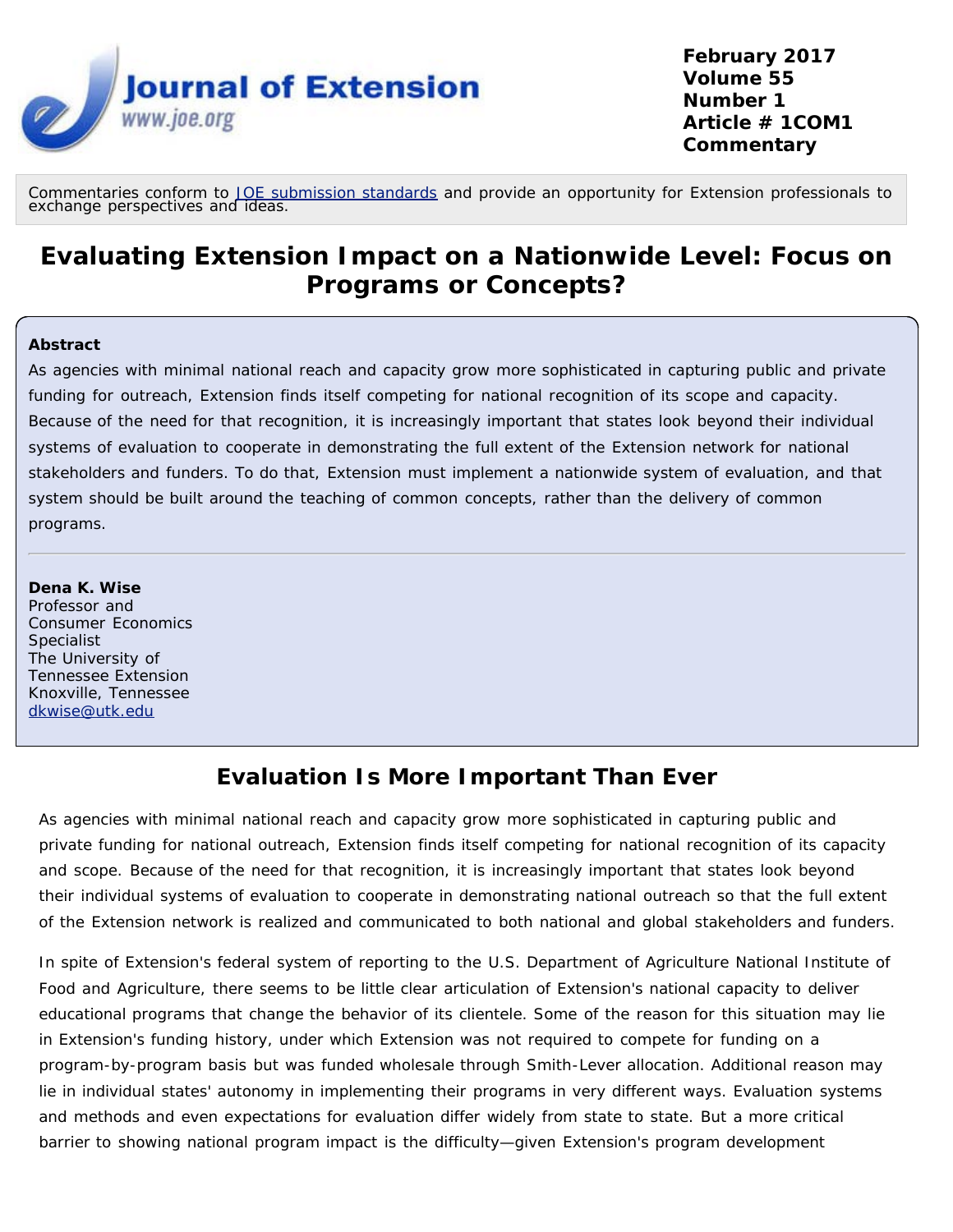

Commentaries conform to *[JOE](https://www.joe.org/for-authors-submission-guidelines.php)* [submission standards](https://www.joe.org/for-authors-submission-guidelines.php) and provide an opportunity for Extension professionals to<br>exchange perspectives and ideas.

# **Evaluating Extension Impact on a Nationwide Level: Focus on Programs or Concepts?**

#### **Abstract**

As agencies with minimal national reach and capacity grow more sophisticated in capturing public and private funding for outreach, Extension finds itself competing for national recognition of its scope and capacity. Because of the need for that recognition, it is increasingly important that states look beyond their individual systems of evaluation to cooperate in demonstrating the full extent of the Extension network for national stakeholders and funders. To do that, Extension must implement a nationwide system of evaluation, and that system should be built around the teaching of common concepts, rather than the delivery of common programs.

#### **Dena K. Wise**

Professor and Consumer Economics **Specialist** The University of Tennessee Extension Knoxville, Tennessee [dkwise@utk.edu](mailto:dkwise@utk.edu)

## **Evaluation Is More Important Than Ever**

As agencies with minimal national reach and capacity grow more sophisticated in capturing public and private funding for national outreach, Extension finds itself competing for national recognition of its capacity and scope. Because of the need for that recognition, it is increasingly important that states look beyond their individual systems of evaluation to cooperate in demonstrating national outreach so that the full extent of the Extension network is realized and communicated to both national and global stakeholders and funders.

In spite of Extension's federal system of reporting to the U.S. Department of Agriculture National Institute of Food and Agriculture, there seems to be little clear articulation of Extension's national capacity to deliver educational programs that change the behavior of its clientele. Some of the reason for this situation may lie in Extension's funding history, under which Extension was not required to compete for funding on a program-by-program basis but was funded wholesale through Smith-Lever allocation. Additional reason may lie in individual states' autonomy in implementing their programs in very different ways. Evaluation systems and methods and even expectations for evaluation differ widely from state to state. But a more critical barrier to showing national program impact is the difficulty—given Extension's program development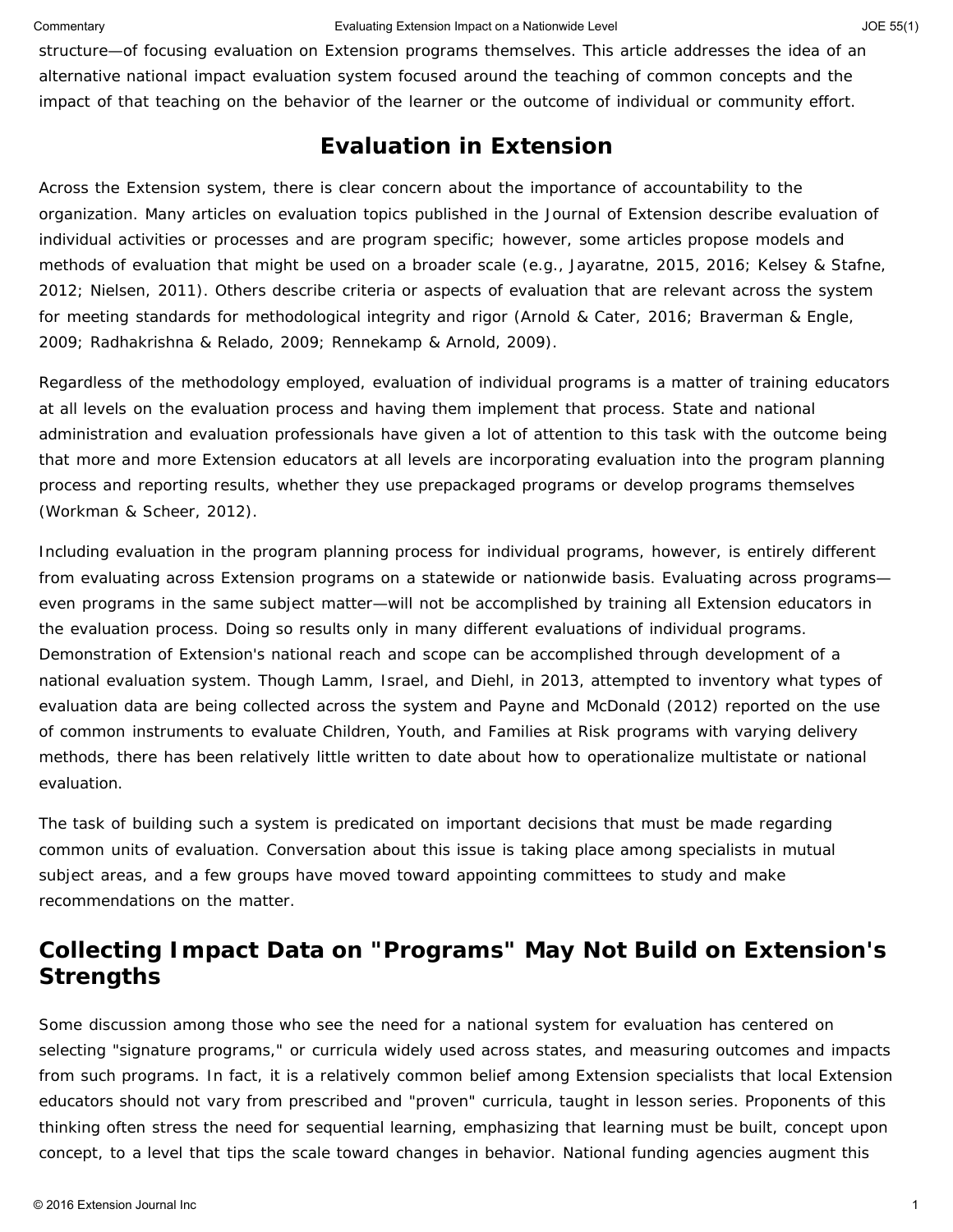#### Commentary **Evaluating Extension Impact on a Nationwide Level** And The S5(1) JOE 55(1)

structure—of focusing evaluation on Extension *programs* themselves. This article addresses the idea of an alternative national impact evaluation system focused around the teaching of common concepts and the impact of that teaching on the behavior of the learner or the outcome of individual or community effort.

## **Evaluation in Extension**

Across the Extension system, there is clear concern about the importance of accountability to the organization. Many articles on evaluation topics published in the *Journal of Extension* describe evaluation of individual activities or processes and are program specific; however, some articles propose models and methods of evaluation that might be used on a broader scale (e.g., Jayaratne, 2015, 2016; Kelsey & Stafne, 2012; Nielsen, 2011). Others describe criteria or aspects of evaluation that are relevant across the system for meeting standards for methodological integrity and rigor (Arnold & Cater, 2016; Braverman & Engle, 2009; Radhakrishna & Relado, 2009; Rennekamp & Arnold, 2009).

Regardless of the methodology employed, evaluation of *individual* programs is a matter of training educators at all levels on the evaluation process and having them implement that process. State and national administration and evaluation professionals have given a lot of attention to this task with the outcome being that more and more Extension educators at all levels are incorporating evaluation into the program planning process and reporting results, whether they use prepackaged programs or develop programs themselves (Workman & Scheer, 2012).

Including evaluation in the program planning process for individual programs, however, is entirely different from evaluating *across* Extension programs on a statewide or nationwide basis. Evaluating across programs even programs in the same subject matter—will not be accomplished by training all Extension educators in the evaluation process. Doing so results only in many different evaluations of individual programs. Demonstration of Extension's national reach and scope can be accomplished through development of a national evaluation system. Though Lamm, Israel, and Diehl, in 2013, attempted to inventory what types of evaluation data are being collected across the system and Payne and McDonald (2012) reported on the use of common instruments to evaluate Children, Youth, and Families at Risk programs with varying delivery methods, there has been relatively little written to date about how to operationalize multistate or national evaluation.

The task of building such a system is predicated on important decisions that must be made regarding common units of evaluation. Conversation about this issue is taking place among specialists in mutual subject areas, and a few groups have moved toward appointing committees to study and make recommendations on the matter.

## **Collecting Impact Data on "Programs" May Not Build on Extension's Strengths**

Some discussion among those who see the need for a national system for evaluation has centered on selecting "signature programs," or curricula widely used across states, and measuring outcomes and impacts from such programs. In fact, it is a relatively common belief among Extension specialists that local Extension educators should not vary from prescribed and "proven" curricula, taught in lesson series. Proponents of this thinking often stress the need for sequential learning, emphasizing that learning must be built, concept upon concept, to a level that tips the scale toward changes in behavior. National funding agencies augment this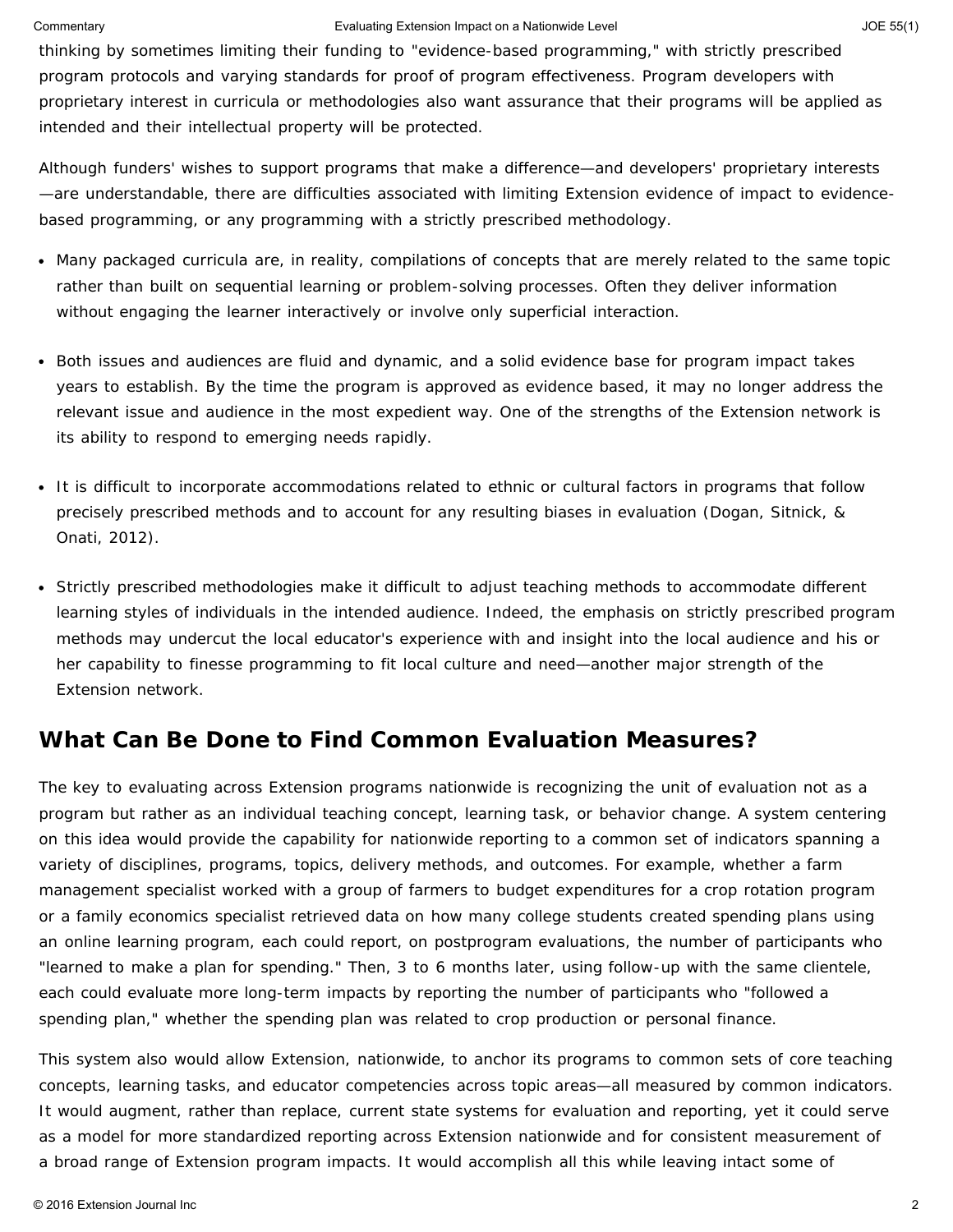#### Commentary **Evaluating Extension Impact on a Nationwide Level** And The S5(1) JOE 55(1)

thinking by sometimes limiting their funding to "evidence-based programming," with strictly prescribed program protocols and varying standards for proof of program effectiveness. Program developers with proprietary interest in curricula or methodologies also want assurance that their programs will be applied as intended and their intellectual property will be protected.

Although funders' wishes to support programs that make a difference—and developers' proprietary interests —are understandable, there are difficulties associated with limiting Extension evidence of impact to evidencebased programming, or any programming with a strictly prescribed methodology.

- Many packaged curricula are, in reality, compilations of concepts that are merely related to the same topic rather than built on sequential learning or problem-solving processes. Often they deliver information without engaging the learner interactively or involve only superficial interaction.
- Both issues and audiences are fluid and dynamic, and a solid evidence base for program impact takes years to establish. By the time the program is approved as evidence based, it may no longer address the relevant issue and audience in the most expedient way. One of the strengths of the Extension network is its ability to respond to emerging needs rapidly.
- It is difficult to incorporate accommodations related to ethnic or cultural factors in programs that follow precisely prescribed methods and to account for any resulting biases in evaluation (Dogan, Sitnick, & Onati, 2012).
- Strictly prescribed methodologies make it difficult to adjust teaching methods to accommodate different learning styles of individuals in the intended audience. Indeed, the emphasis on strictly prescribed program methods may undercut the local educator's experience with and insight into the local audience and his or her capability to finesse programming to fit local culture and need—another major strength of the Extension network.

## **What Can Be Done to Find Common Evaluation Measures?**

The key to evaluating across Extension programs nationwide is recognizing the unit of evaluation not as a program but rather as an individual teaching concept, learning task, or behavior change. A system centering on this idea would provide the capability for nationwide reporting to a common set of indicators spanning a variety of disciplines, programs, topics, delivery methods, and outcomes. For example, whether a farm management specialist worked with a group of farmers to budget expenditures for a crop rotation program or a family economics specialist retrieved data on how many college students created spending plans using an online learning program, each could report, on postprogram evaluations, the number of participants who "learned to make a plan for spending." Then, 3 to 6 months later, using follow-up with the same clientele, each could evaluate more long-term impacts by reporting the number of participants who "followed a spending plan," whether the spending plan was related to crop production or personal finance.

This system also would allow Extension, nationwide, to anchor its programs to common sets of core teaching concepts, learning tasks, and educator competencies across topic areas—all measured by common indicators. It would augment, rather than replace, current state systems for evaluation and reporting, yet it could serve as a model for more standardized reporting across Extension nationwide and for consistent measurement of a broad range of Extension program impacts. It would accomplish all this while leaving intact some of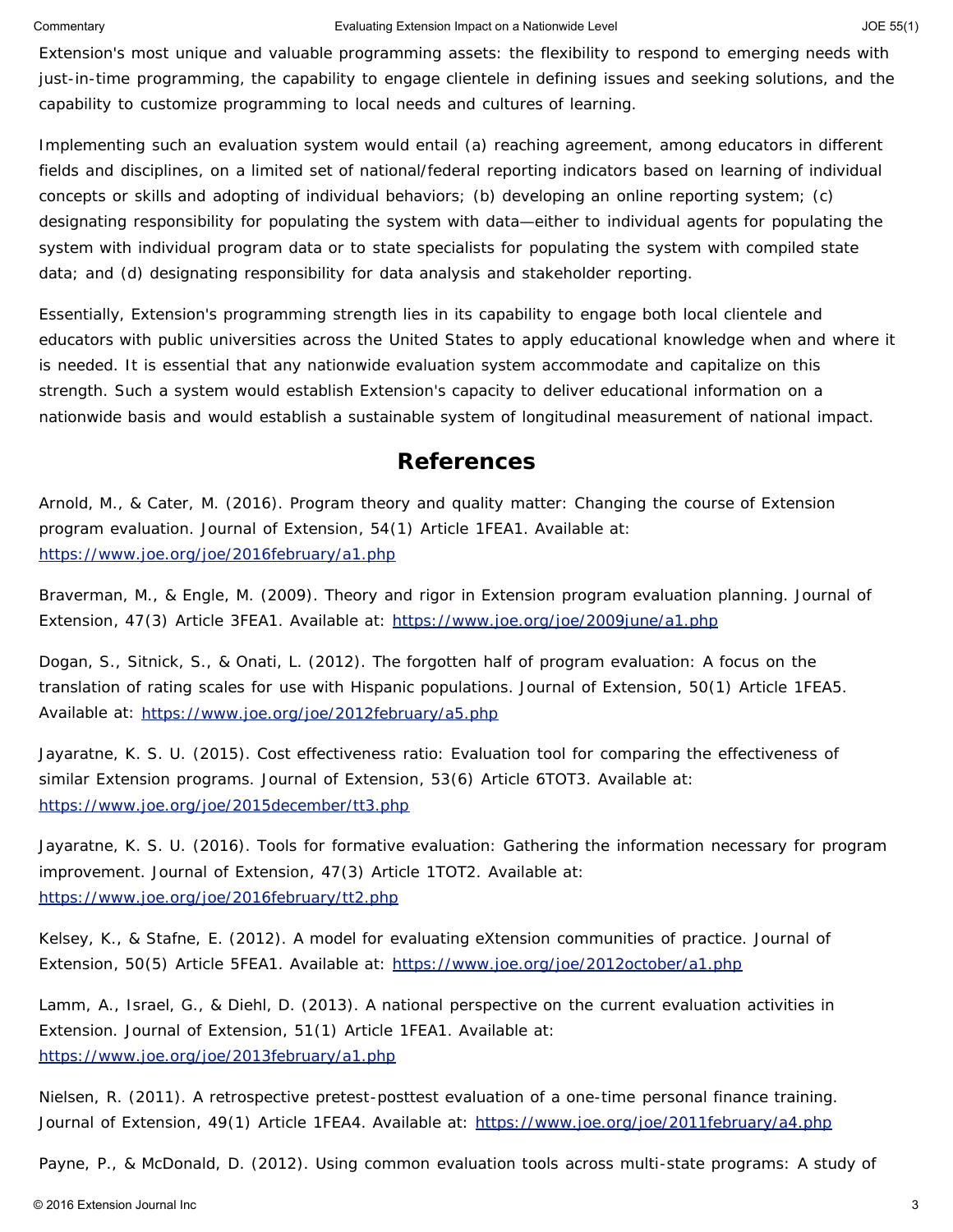#### Commentary **Evaluating Extension Impact on a Nationwide Level Commentary SIGN 108 55(1)** JOE 55(1)

Extension's most unique and valuable programming assets: the flexibility to respond to emerging needs with just-in-time programming, the capability to engage clientele in defining issues and seeking solutions, and the capability to customize programming to local needs and cultures of learning.

Implementing such an evaluation system would entail (a) reaching agreement, among educators in different fields and disciplines, on a limited set of national/federal reporting indicators based on learning of individual concepts or skills and adopting of individual behaviors; (b) developing an online reporting system; (c) designating responsibility for populating the system with data—either to individual agents for populating the system with individual program data or to state specialists for populating the system with compiled state data; and (d) designating responsibility for data analysis and stakeholder reporting.

Essentially, Extension's programming strength lies in its capability to engage both local clientele and educators with public universities across the United States to apply educational knowledge when and where it is needed. It is essential that any nationwide evaluation system accommodate and capitalize on this strength. Such a system would establish Extension's capacity to deliver educational information on a nationwide basis and would establish a sustainable system of longitudinal measurement of national impact.

## **References**

Arnold, M., & Cater, M. (2016). Program theory and quality matter: Changing the course of Extension program evaluation. *Journal of Extension*, *54*(1) Article 1FEA1. Available at: <https://www.joe.org/joe/2016february/a1.php>

Braverman, M., & Engle, M. (2009). Theory and rigor in Extension program evaluation planning. *Journal of Extension*, *47*(3) Article 3FEA1. Available at: <https://www.joe.org/joe/2009june/a1.php>

Dogan, S., Sitnick, S., & Onati, L. (2012). The forgotten half of program evaluation: A focus on the translation of rating scales for use with Hispanic populations. *Journal of Extension*, *50*(1) Article 1FEA5. Available at: <https://www.joe.org/joe/2012february/a5.php>

Jayaratne, K. S. U. (2015). Cost effectiveness ratio: Evaluation tool for comparing the effectiveness of similar Extension programs. *Journal of Extension*, *53*(6) Article 6TOT3. Available at: <https://www.joe.org/joe/2015december/tt3.php>

Jayaratne, K. S. U. (2016). Tools for formative evaluation: Gathering the information necessary for program improvement. *Journal of Extension*, *47*(3) Article 1TOT2. Available at: <https://www.joe.org/joe/2016february/tt2.php>

Kelsey, K., & Stafne, E. (2012). A model for evaluating eXtension communities of practice. *Journal of Extension*, *50*(5) Article 5FEA1. Available at: <https://www.joe.org/joe/2012october/a1.php>

Lamm, A., Israel, G., & Diehl, D. (2013). A national perspective on the current evaluation activities in Extension. *Journal of Extension*, *51*(1) Article 1FEA1. Available at: <https://www.joe.org/joe/2013february/a1.php>

Nielsen, R. (2011). A retrospective pretest-posttest evaluation of a one-time personal finance training. *Journal of Extension*, *49*(1) Article 1FEA4. Available at: <https://www.joe.org/joe/2011february/a4.php>

Payne, P., & McDonald, D. (2012). Using common evaluation tools across multi-state programs: A study of